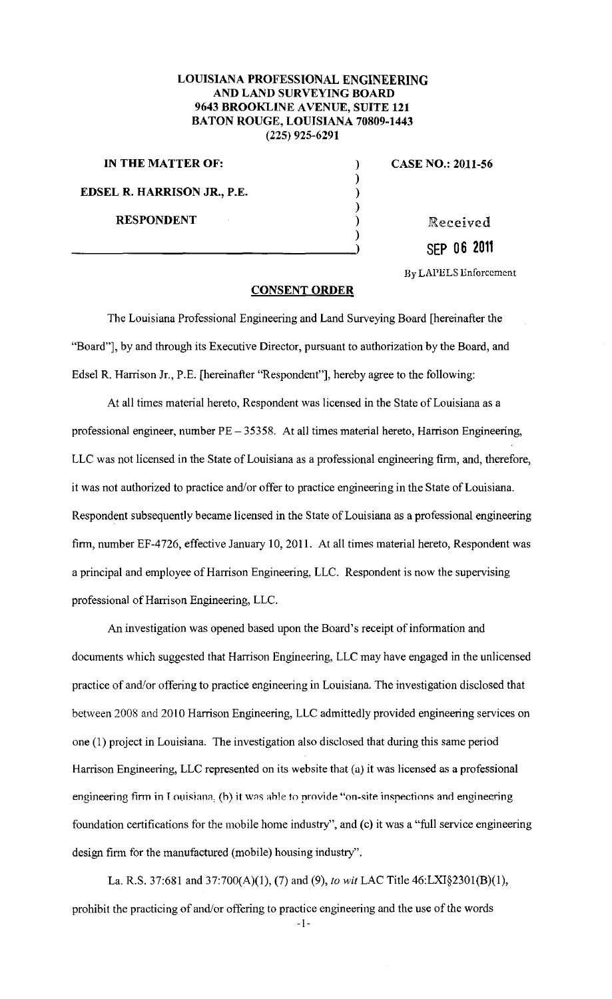## **LOUISIANA PROFESSIONAL ENGINEERING AND LAND SURVEYING BOARD 9643 BROOKLINE AVENUE, SUITE 121 BATON ROUGE, LOUISIANA 70809-1443 (225) 925-6291**

) ) ) ) )

**IN THE MATTER OF:** ) **EDSEL R. HARRISON JR., P.E.**  RESPONDENT 1999 (Received

**CASE NO.: 2011-56** 

**SEP 06 2011** 

By LAPELS Enforcement

## **CONSENT ORDER**

The Louisiana Professional Engineering and Land Surveying Board [hereinafter the "Board"], by and through its Executive Director, pursuant to authorization by the Board, and Edsel R. Harrison Jr., P .E. [hereinafter "Respondent"], hereby agree to the following:

At all times material hereto, Respondent was licensed in the State of Louisiana as a professional engineer, number PE- 35358. At all times material hereto, Harrison Engineering, LLC was not licensed in the State of Louisiana as a professional engineering firm, and, therefore, it was not authorized to practice and/or offer to practice engineering in the State of Louisiana. Respondent subsequently became licensed in the State of Louisiana as a professional engineering firm, number EF-4726, effective January 10, 2011. At all times material hereto, Respondent was a principal and employee of Harrison Engineering, LLC. Respondent is now the supervising professional of Harrison Engineering, LLC.

An investigation was opened based upon the Board's receipt of information and documents which suggested that Harrison Engineering, LLC may have engaged in the unlicensed practice of and/or offering to practice engineering in Louisiana. The investigation disclosed that between 2008 and 2010 Harrison Engineering, LLC admittedly provided engineering services on one (I) project in Louisiana. The investigation also disclosed that during this same period Harrison Engineering, LLC represented on its website that (a) it was licensed as a professional engineering firm in Louisiana, (b) it was ahle to provide "on-site inspections and engineering foundation certifications for the mobile home industry", and (c) it was a "full service engineering design firm for the manufactured (mobile) housing industry".

La. R.S. 37:681 and 37:700(A)(l), (7) and (9), *to* wit LAC Title 46:LXI§230l(B)(l), prohibit the practicing of and/or offering to practice engineering and the use of the words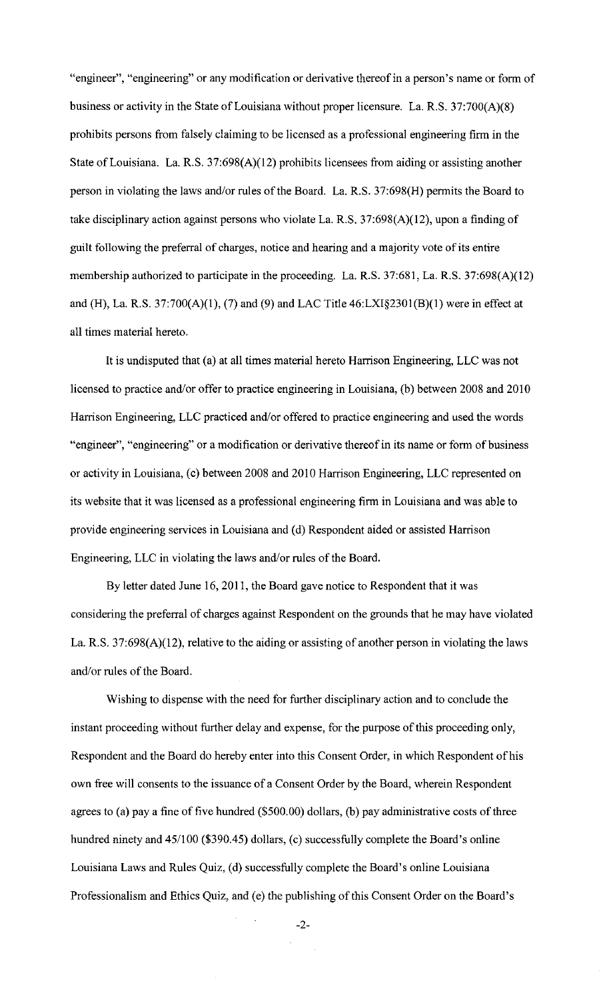"engineer", "engineering" or any modification or derivative thereof in a person's name or form of business or activity in the State of Louisiana without proper licensure. La. R.S. 37:700(A)(8) prohibits persons from falsely claiming to be licensed as a professional engineering firm in the State of Louisiana. La. R.S. 37:698(A)(l2) prohibits licensees from aiding or assisting another person in violating the laws and/or rules of the Board. La. R.S. 37:698(H) permits the Board to take disciplinary action against persons who violate La. R.S. 37:698(A)(l2), upon a finding of guilt following the preferral of charges, notice and hearing and a majority vote of its entire membership authorized to participate in the proceeding. La. R.S. 37:681, La. R.S. 37:698(A)(12) and (H), La. R.S. 37:700(A)(1), (7) and (9) and LAC Title 46:LXI§2301(B)(1) were in effect at all times material hereto.

It is undisputed that (a) at all times material hereto Harrison Engineering, LLC was not licensed to practice and/or offer to practice engineering in Louisiana, (b) between 2008 and 2010 Harrison Engineering, LLC practiced and/or offered to practice engineering and used the words "engineer", "engineering" or a modification or derivative thereof in its name or form of business or activity in Louisiana, (c) between 2008 and 2010 Harrison Engineering, LLC represented on its website that it was licensed as a professional engineering firm in Louisiana and was able to provide engineering services in Louisiana and (d) Respondent aided or assisted Harrison Engineering, LLC in violating the laws and/or rules of the Board.

By letter dated June 16, 2011, the Board gave notice to Respondent that it was considering the preferral of charges against Respondent on the grounds that he may have violated La. R.S. 37:698(A)(12), relative to the aiding or assisting of another person in violating the laws and/or rules of the Board.

Wishing to dispense with the need for further disciplinary action and to conclude the instant proceeding without further delay and expense, for the purpose of this proceeding only, Respondent and the Board do hereby enter into this Consent Order, in which Respondent of his own free will consents to the issuance of a Consent Order by the Board, wherein Respondent agrees to (a) pay a fine of five hundred (\$500.00) dollars, (b) pay administrative costs of three hundred ninety and 45/100 (\$390.45) dollars, (c) successfully complete the Board's online Louisiana Laws and Rules Quiz, (d) successfully complete the Board's online Louisiana Professionalism and Ethics Quiz, and (e) the publishing of this Consent Order on the Board's

-2-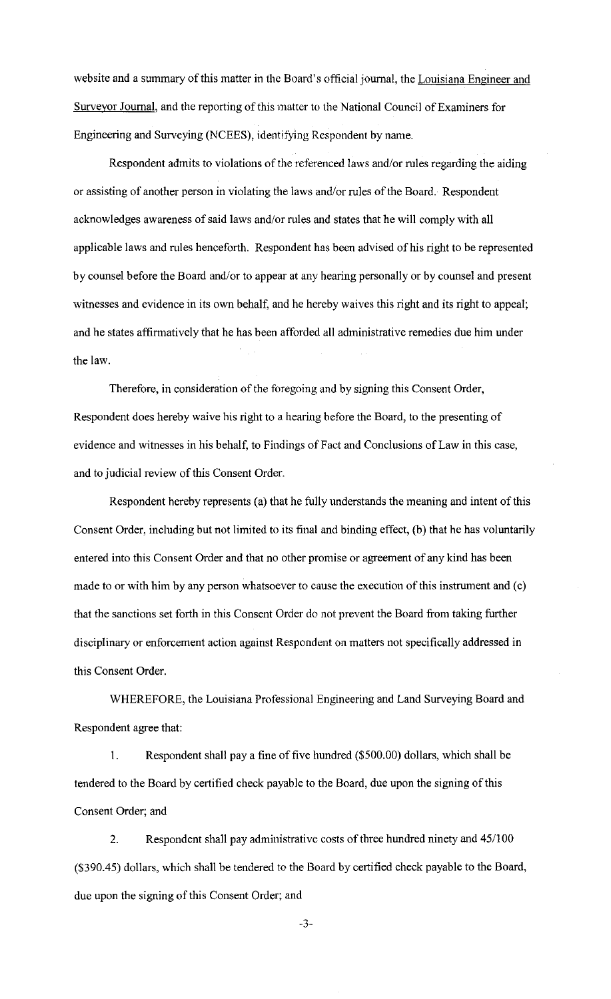website and a summary of this matter in the Board's official journal, the Louisiana Engineer and Surveyor Journal, and the reporting of this matter to the National Council of Examiners for Engineering and Surveying (NCEES), identifying Respondent by name.

Respondent admits to violations of the referenced laws aud/or rules regarding the aiding or assisting of another person in violating the laws aud/or rules of the Board. Respondent acknowledges awareness of said laws and/or rules and states that he will comply with all applicable laws and rules henceforth. Respondent has been advised of his right to be represented by counsel before the Board and/or to appear at any hearing personally or by counsel aud present witnesses and evidence in its own behalf, and he hereby waives this right and its right to appeal; and he states affirmatively that he has been afforded all administrative remedies due him under the law.

Therefore, in consideration of the foregoing and by signing this Consent Order, Respondent does hereby waive his right to a hearing before the Board, to the presenting of evidence and witnesses in his behalf, to Findings of Fact and Conclusions of Law in this case, and to judicial review of this Consent Order.

Respondent hereby represents (a) that he fully understands the meaning and intent of this Consent Order, including but not limited to its final aud binding effect, (b) that he has voluntarily entered into this Consent Order and that no other promise or agreement of any kind has been made to or with him by any person whatsoever to cause the execution of this instrument and (c) that the sanctions set forth in this Consent Order do not prevent the Board from taking further disciplinary or enforcement action against Respondent on matters not specifically addressed in this Consent Order.

WHEREFORE, the Louisiana Professional Engineering and Land Surveying Board and Respondent agree that:

1. Respondent shall pay a fine of five hundred (\$500.00) dollars, which shall be tendered to the Board by certified check payable to the Board, due upon the signing of this Consent Order; and

2. Respondent shall pay administrative costs of three hundred ninety and 45/100 (\$390.45) dollars, which shall be tendered to the Board by certified check payable to the Board, due upon the signing of this Consent Order; and

-3-